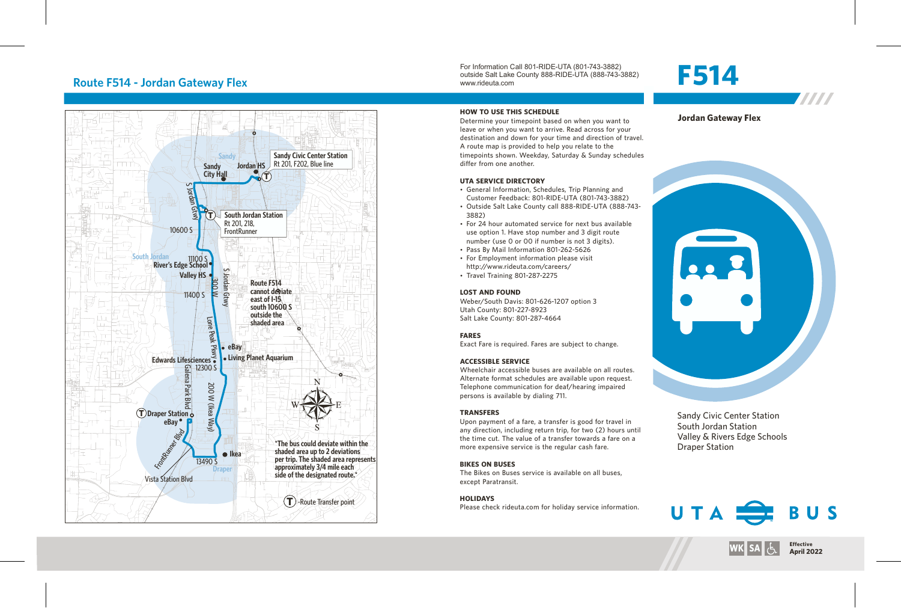# **Route F514 - Jordan Gateway Flex**



For Information Call 801-RIDE-UTA (801-743-3882) outside Salt Lake County 888-RIDE-UTA (888-743-3882) www.rideuta.com

#### **HOW TO USE THIS SCHEDULE**

Determine your timepoint based on when you want to leave or when you want to arrive. Read across for your destination and down for your time and direction of travel. A route map is provided to help you relate to the timepoints shown. Weekday, Saturday & Sunday schedules differ from one another.

#### **UTA SERVICE DIRECTORY**

- General Information, Schedules, Trip Planning and Customer Feedback: 801-RIDE-UTA (801-743-3882)
- Outside Salt Lake County call 888-RIDE-UTA (888-743-3882)
- For 24 hour automated service for next bus available use option 1. Have stop number and 3 digit route number (use 0 or 00 if number is not 3 digits).
- Pass By Mail Information 801-262-5626
- For Employment information please visit http://www.rideuta.com/careers/
- Travel Training 801-287-2275

#### **LOST AND FOUND**

Weber/South Davis: 801-626-1207 option 3 Utah County: 801-227-8923 Salt Lake County: 801-287-4664

#### **FARES**

Exact Fare is required. Fares are subject to change.

### **ACCESSIBLE SERVICE**

Wheelchair accessible buses are available on all routes. Alternate format schedules are available upon request. Telephone communication for deaf/hearing impaired persons is available by dialing 711.

#### **TRANSFERS**

Upon payment of a fare, a transfer is good for travel in any direction, including return trip, for two (2) hours until the time cut. The value of a transfer towards a fare on a more expensive service is the regular cash fare.

#### **BIKES ON BUSES**

The Bikes on Buses service is available on all buses, except Paratransit.

#### **HOLIDAYS**

Please check rideuta.com for holiday service information.

# **F514**



#### **Jordan Gateway Flex**



Sandy Civic Center Station South Jordan Station Valley & Rivers Edge Schools Draper Station